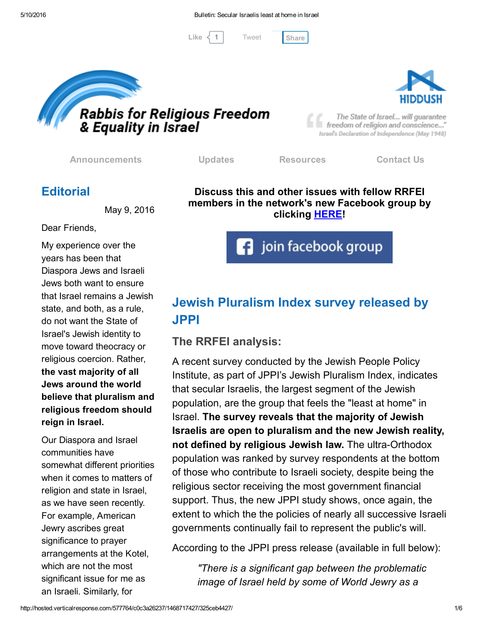[Tweet](https://twitter.com/intent/tweet?original_referer=http%3A%2F%2Fhosted.verticalresponse.com%2F577764%2Fc0c3a26237%2F1468717427%2F325ceb4427%2F&ref_src=twsrc%5Etfw&text=Bulletin%3A%20Secular%20Israelis%20least%20at%20home%20in%20Israel%3A&tw_p=tweetbutton&url=http%3A%2F%2Fhosted-p0.vresp.com%2F577764%2Fc0c3a26237%2FARCHIVE%23.VzG-tt-qIgI.twitter)

Like  $\langle 1 |$  Tweet [Share](javascript:void(0);)



Rabbis for Religious Freedom<br>& Equality in Israel

The State of Israel... will guarantee freedom of religion and conscience..." Israel's Declaration of Independence (May 1948)

[Announcements](http://cts.vresp.com/c/?FreedomofReligionfor/c0c3a26237/325ceb4427/1af13af5fb) [Updates](http://cts.vresp.com/c/?FreedomofReligionfor/c0c3a26237/325ceb4427/7aa059c7fa) [Resources](http://cts.vresp.com/c/?FreedomofReligionfor/c0c3a26237/325ceb4427/dde50f3cf7) [Contact](http://cts.vresp.com/c/?FreedomofReligionfor/c0c3a26237/325ceb4427/ea887b9fa9) Us

# **Editorial**

May 9, 2016

Dear Friends,

My experience over the years has been that Diaspora Jews and Israeli Jews both want to ensure that Israel remains a Jewish state, and both, as a rule, do not want the State of Israel's Jewish identity to move toward theocracy or religious coercion. Rather, the vast majority of all Jews around the world believe that pluralism and religious freedom should reign in Israel.

Our Diaspora and Israel communities have somewhat different priorities when it comes to matters of religion and state in Israel, as we have seen recently. For example, American Jewry ascribes great significance to prayer arrangements at the Kotel, which are not the most significant issue for me as an Israeli. Similarly, for

Discuss this and other issues with fellow RRFEI members in the network's new Facebook group by clicking **[HERE!](http://cts.vresp.com/c/?FreedomofReligionfor/c0c3a26237/325ceb4427/00293f9956)** 

join facebook group

# Jewish Pluralism Index survey released by JPPI

### The RRFEI analysis:

A recent survey conducted by the Jewish People Policy Institute, as part of JPPI's Jewish Pluralism Index, indicates that secular Israelis, the largest segment of the Jewish population, are the group that feels the "least at home" in Israel. The survey reveals that the majority of Jewish Israelis are open to pluralism and the new Jewish reality, not defined by religious Jewish law. The ultra-Orthodox population was ranked by survey respondents at the bottom of those who contribute to Israeli society, despite being the religious sector receiving the most government financial support. Thus, the new JPPI study shows, once again, the extent to which the the policies of nearly all successive Israeli governments continually fail to represent the public's will.

According to the JPPI press release (available in full below):

*"There is a significant gap between the problematic image of Israel held by some of World Jewry as a*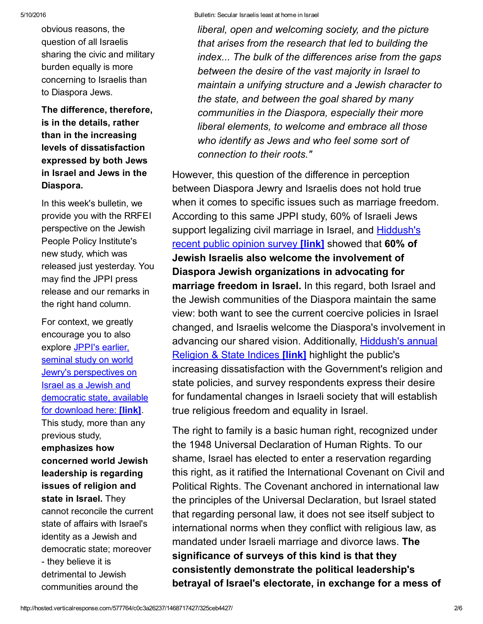obvious reasons, the question of all Israelis sharing the civic and military burden equally is more concerning to Israelis than to Diaspora Jews.

The difference, therefore, is in the details, rather than in the increasing levels of dissatisfaction expressed by both Jews in Israel and Jews in the Diaspora.

In this week's bulletin, we provide you with the RRFEI perspective on the Jewish People Policy Institute's new study, which was released just yesterday. You may find the JPPI press release and our remarks in the right hand column.

For context, we greatly encourage you to also explore JPPI's earlier, seminal study on world Jewry's [perspectives](http://cts.vresp.com/c/?FreedomofReligionfor/c0c3a26237/325ceb4427/0b17633dfe) on Israel as a Jewish and democratic state, available for download here: [link]. This study, more than any previous study, emphasizes how concerned world Jewish leadership is regarding issues of religion and state in Israel. They cannot reconcile the current state of affairs with Israel's identity as a Jewish and democratic state; moreover - they believe it is detrimental to Jewish communities around the

*liberal, open and welcoming society, and the picture that arises from the research that led to building the index... The bulk of the differences arise from the gaps between the desire of the vast majority in Israel to maintain a unifying structure and a Jewish character to the state, and between the goal shared by many communities in the Diaspora, especially their more liberal elements, to welcome and embrace all those who identify as Jews and who feel some sort of connection to their roots."*

However, this question of the difference in perception between Diaspora Jewry and Israelis does not hold true when it comes to specific issues such as marriage freedom. According to this same JPPI study, 60% of Israeli Jews support legalizing civil marriage in Israel, and [Hiddush's](http://cts.vresp.com/c/?FreedomofReligionfor/c0c3a26237/325ceb4427/338c0939c2) recent public opinion survey [link] showed that 60% of Jewish Israelis also welcome the involvement of Diaspora Jewish organizations in advocating for marriage freedom in Israel. In this regard, both Israel and the Jewish communities of the Diaspora maintain the same view: both want to see the current coercive policies in Israel changed, and Israelis welcome the Diaspora's involvement in advancing our shared vision. [Additionally,](http://cts.vresp.com/c/?FreedomofReligionfor/c0c3a26237/325ceb4427/58b5b586a2/aid=1602) Hiddush's annual Religion & State Indices [link] highlight the public's increasing dissatisfaction with the Government's religion and state policies, and survey respondents express their desire for fundamental changes in Israeli society that will establish true religious freedom and equality in Israel.

The right to family is a basic human right, recognized under the 1948 Universal Declaration of Human Rights. To our shame, Israel has elected to enter a reservation regarding this right, as it ratified the International Covenant on Civil and Political Rights. The Covenant anchored in international law the principles of the Universal Declaration, but Israel stated that regarding personal law, it does not see itself subject to international norms when they conflict with religious law, as mandated under Israeli marriage and divorce laws. The significance of surveys of this kind is that they consistently demonstrate the political leadership's betrayal of Israel's electorate, in exchange for a mess of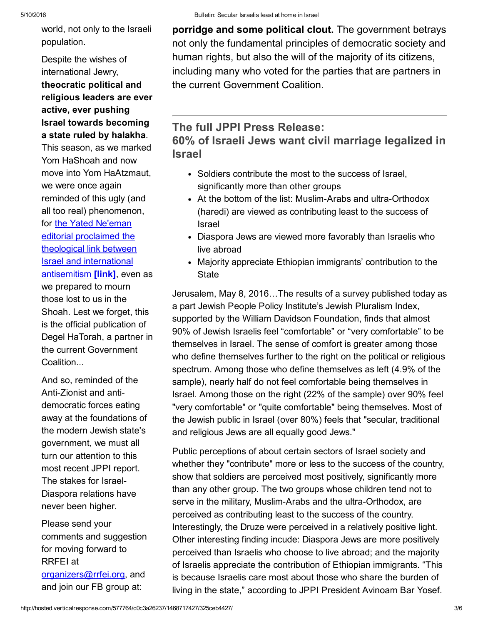world, not only to the Israeli population.

Despite the wishes of international Jewry, theocratic political and religious leaders are ever active, ever pushing Israel towards becoming a state ruled by halakha.

This season, as we marked Yom HaShoah and now move into Yom HaAtzmaut, we were once again reminded of this ugly (and all too real) phenomenon, for the Yated Ne'eman editorial proclaimed the theological link between Israel and international [antisemitism](http://cts.vresp.com/c/?FreedomofReligionfor/c0c3a26237/325ceb4427/dff330f5c2) [link], even as we prepared to mourn those lost to us in the Shoah. Lest we forget, this is the official publication of Degel HaTorah, a partner in the current Government **Coalition** 

And so, reminded of the Anti-Zionist and antidemocratic forces eating away at the foundations of the modern Jewish state's government, we must all turn our attention to this most recent JPPI report. The stakes for Israel-Diaspora relations have never been higher.

Please send your comments and suggestion for moving forward to RRFEI at [organizers@rrfei.org,](mailto:organizers@rrfei.org) and and join our FB group at:

porridge and some political clout. The government betrays not only the fundamental principles of democratic society and human rights, but also the will of the majority of its citizens, including many who voted for the parties that are partners in the current Government Coalition.

### The full JPPI Press Release:

60% of Israeli Jews want civil marriage legalized in Israel

- Soldiers contribute the most to the success of Israel, significantly more than other groups
- At the bottom of the list: Muslim-Arabs and ultra-Orthodox (haredi) are viewed as contributing least to the success of Israel
- Diaspora Jews are viewed more favorably than Israelis who live abroad
- Majority appreciate Ethiopian immigrants' contribution to the **State**

Jerusalem, May 8, 2016…The results of a survey published today as a part Jewish People Policy Institute's Jewish Pluralism Index, supported by the William Davidson Foundation, finds that almost 90% of Jewish Israelis feel "comfortable" or "very comfortable" to be themselves in Israel. The sense of comfort is greater among those who define themselves further to the right on the political or religious spectrum. Among those who define themselves as left (4.9% of the sample), nearly half do not feel comfortable being themselves in Israel. Among those on the right (22% of the sample) over 90% feel "very comfortable" or "quite comfortable" being themselves. Most of the Jewish public in Israel (over 80%) feels that "secular, traditional and religious Jews are all equally good Jews."

Public perceptions of about certain sectors of Israel society and whether they "contribute" more or less to the success of the country, show that soldiers are perceived most positively, significantly more than any other group. The two groups whose children tend not to serve in the military, Muslim-Arabs and the ultra-Orthodox, are perceived as contributing least to the success of the country. Interestingly, the Druze were perceived in a relatively positive light. Other interesting finding incude: Diaspora Jews are more positively perceived than Israelis who choose to live abroad; and the majority of Israelis appreciate the contribution of Ethiopian immigrants. "This is because Israelis care most about those who share the burden of living in the state," according to JPPI President Avinoam Bar Yosef.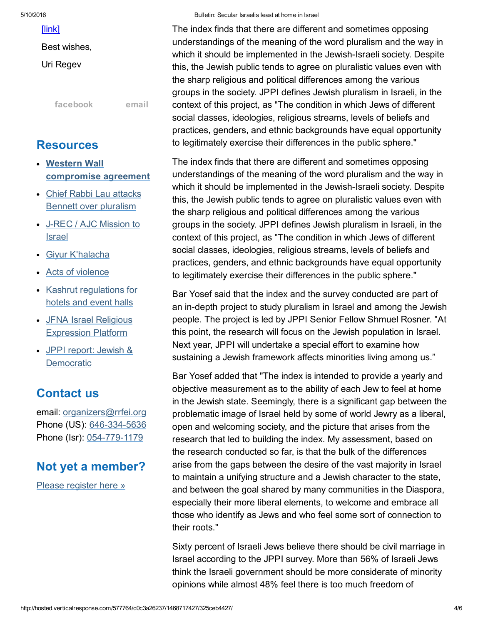[\[link\]](http://cts.vresp.com/c/?FreedomofReligionfor/c0c3a26237/325ceb4427/6bab21c7d1)

Best wishes,

Uri Regev

[facebook](http://cts.vresp.com/c/?FreedomofReligionfor/c0c3a26237/325ceb4427/6bff533fcf) [email](mailto:organizers@rrfei.org)

### Resources

- Western Wall [compromise](http://cts.vresp.com/c/?FreedomofReligionfor/c0c3a26237/325ceb4427/6bf450980c) agreement
- Chief Rabbi Lau attacks Bennett over [pluralism](http://cts.vresp.com/c/?FreedomofReligionfor/c0c3a26237/325ceb4427/f45996cd27)
- J-REC / AJC [Mission](http://cts.vresp.com/c/?FreedomofReligionfor/c0c3a26237/325ceb4427/78f715dc27) to Israel
- Giyur [K'halacha](http://cts.vresp.com/c/?FreedomofReligionfor/c0c3a26237/325ceb4427/14b5f5f390)
- Acts of [violence](http://cts.vresp.com/c/?FreedomofReligionfor/c0c3a26237/325ceb4427/8c1a702b69)
- Kashrut [regulations](http://cts.vresp.com/c/?FreedomofReligionfor/c0c3a26237/325ceb4427/deae515f2b) for hotels and event halls
- JFNA Israel Religious [Expression](http://cts.vresp.com/c/?FreedomofReligionfor/c0c3a26237/325ceb4427/8bb5e8ccc8) Platform
- JPPI report: Jewish & **[Democratic](http://cts.vresp.com/c/?FreedomofReligionfor/c0c3a26237/325ceb4427/bbc8f997e3)**

# Contact us

email: [organizers@rrfei.org](mailto:organizers@rrfei.org) Phone (US): 646-334-5636 Phone (Isr): 054-779-1179

# Not yet a member?

Please [register](http://cts.vresp.com/c/?FreedomofReligionfor/c0c3a26237/325ceb4427/4b63a677f3) here »

#### 5/10/2016 Bulletin: Secular Israelis least at home in Israel

The index finds that there are different and sometimes opposing understandings of the meaning of the word pluralism and the way in which it should be implemented in the Jewish-Israeli society. Despite this, the Jewish public tends to agree on pluralistic values even with the sharp religious and political differences among the various groups in the society. JPPI defines Jewish pluralism in Israeli, in the context of this project, as "The condition in which Jews of different social classes, ideologies, religious streams, levels of beliefs and practices, genders, and ethnic backgrounds have equal opportunity to legitimately exercise their differences in the public sphere."

The index finds that there are different and sometimes opposing understandings of the meaning of the word pluralism and the way in which it should be implemented in the Jewish-Israeli society. Despite this, the Jewish public tends to agree on pluralistic values even with the sharp religious and political differences among the various groups in the society. JPPI defines Jewish pluralism in Israeli, in the context of this project, as "The condition in which Jews of different social classes, ideologies, religious streams, levels of beliefs and practices, genders, and ethnic backgrounds have equal opportunity to legitimately exercise their differences in the public sphere."

Bar Yosef said that the index and the survey conducted are part of an in-depth project to study pluralism in Israel and among the Jewish people. The project is led by JPPI Senior Fellow Shmuel Rosner. "At this point, the research will focus on the Jewish population in Israel. Next year, JPPI will undertake a special effort to examine how sustaining a Jewish framework affects minorities living among us."

Bar Yosef added that "The index is intended to provide a yearly and objective measurement as to the ability of each Jew to feel at home in the Jewish state. Seemingly, there is a significant gap between the problematic image of Israel held by some of world Jewry as a liberal, open and welcoming society, and the picture that arises from the research that led to building the index. My assessment, based on the research conducted so far, is that the bulk of the differences arise from the gaps between the desire of the vast majority in Israel to maintain a unifying structure and a Jewish character to the state, and between the goal shared by many communities in the Diaspora, especially their more liberal elements, to welcome and embrace all those who identify as Jews and who feel some sort of connection to their roots."

Sixty percent of Israeli Jews believe there should be civil marriage in Israel according to the JPPI survey. More than 56% of Israeli Jews think the Israeli government should be more considerate of minority opinions while almost 48% feel there is too much freedom of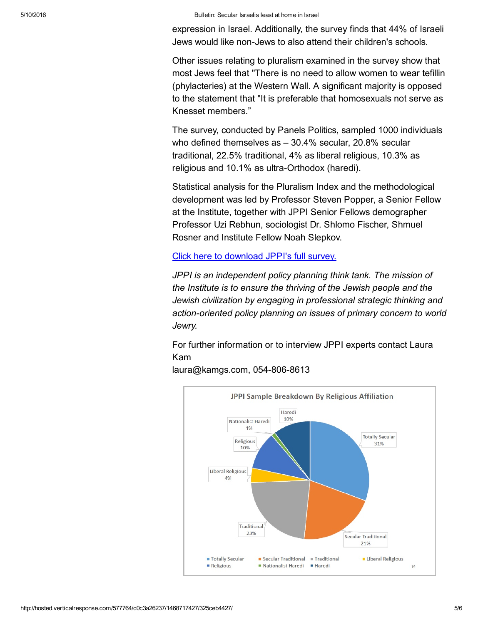#### 5/10/2016 Bulletin: Secular Israelis least at home in Israel

expression in Israel. Additionally, the survey finds that 44% of Israeli Jews would like non-Jews to also attend their children's schools.

Other issues relating to pluralism examined in the survey show that most Jews feel that "There is no need to allow women to wear tefillin (phylacteries) at the Western Wall. A significant majority is opposed to the statement that "It is preferable that homosexuals not serve as Knesset members."

The survey, conducted by Panels Politics, sampled 1000 individuals who defined themselves as – 30.4% secular, 20.8% secular traditional, 22.5% traditional, 4% as liberal religious, 10.3% as religious and 10.1% as ultra-Orthodox (haredi).

Statistical analysis for the Pluralism Index and the methodological development was led by Professor Steven Popper, a Senior Fellow at the Institute, together with JPPI Senior Fellows demographer Professor Uzi Rebhun, sociologist Dr. Shlomo Fischer, Shmuel Rosner and Institute Fellow Noah Slepkov.

Click here to [download](http://cts.vresp.com/c/?FreedomofReligionfor/c0c3a26237/325ceb4427/6ea27a3cc7) JPPI's full survey.

*JPPI is an independent policy planning think tank. The mission of the Institute is to ensure the thriving of the Jewish people and the Jewish civilization by engaging in professional strategic thinking and action-oriented policy planning on issues of primary concern to world Jewry.*

For further information or to interview JPPI experts contact Laura Kam



laura@kamgs.com, 054-806-8613